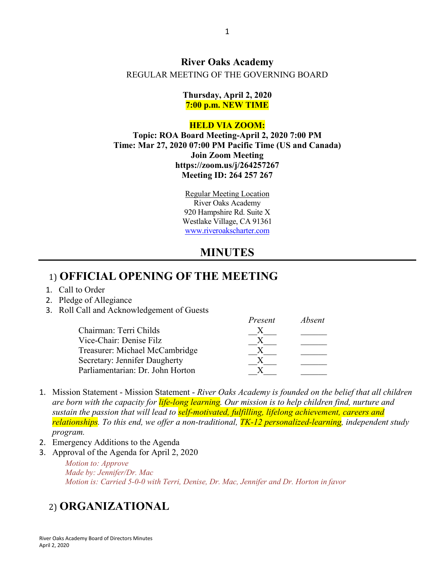#### **River Oaks Academy** REGULAR MEETING OF THE GOVERNING BOARD

**Thursday, April 2, 2020 7:00 p.m. NEW TIME**

#### **HELD VIA ZOOM:**

**Topic: ROA Board Meeting-April 2, 2020 7:00 PM Time: Mar 27, 2020 07:00 PM Pacific Time (US and Canada) Join Zoom Meeting https://zoom.us/j/264257267 Meeting ID: 264 257 267**

> Regular Meeting Location River Oaks Academy 920 Hampshire Rd. Suite X Westlake Village, CA 91361 [www.riveroakscharter.com](http://www.riveroakscharter.com/)

# **MINUTES**

#### 1) **OFFICIAL OPENING OF THE MEETING**

- 1. Call to Order
- 2. Pledge of Allegiance
- 3. Roll Call and Acknowledgement of Guests

| Present | Absent |
|---------|--------|
|         |        |
|         |        |
|         |        |
|         |        |
|         |        |
|         |        |

- 1. Mission Statement Mission Statement *River Oaks Academy is founded on the belief that all children are born with the capacity for life-long learning. Our mission is to help children find, nurture and sustain the passion that will lead to self-motivated, fulfilling, lifelong achievement, careers and relationships. To this end, we offer a non-traditional, TK-12 personalized-learning, independent study program.*
- 2. Emergency Additions to the Agenda
- 3. Approval of the Agenda for April 2, 2020 *Motion to: Approve Made by: Jennifer/Dr. Mac Motion is: Carried 5-0-0 with Terri, Denise, Dr. Mac, Jennifer and Dr. Horton in favor*

# 2) **ORGANIZATIONAL**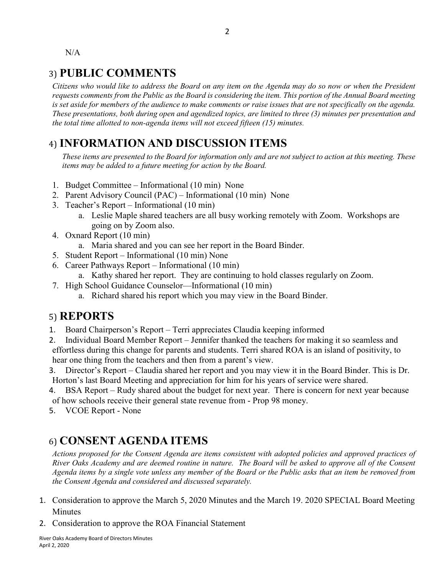N/A

# 3) **PUBLIC COMMENTS**

*Citizens who would like to address the Board on any item on the Agenda may do so now or when the President requests comments from the Public as the Board is considering the item. This portion of the Annual Board meeting is set aside for members of the audience to make comments or raise issues that are not specifically on the agenda. These presentations, both during open and agendized topics, are limited to three (3) minutes per presentation and the total time allotted to non-agenda items will not exceed fifteen (15) minutes.*

# 4) **INFORMATION AND DISCUSSION ITEMS**

*These items are presented to the Board for information only and are not subject to action at this meeting. These items may be added to a future meeting for action by the Board.*

- 1. Budget Committee Informational (10 min) None
- 2. Parent Advisory Council (PAC) Informational (10 min) None
- 3. Teacher's Report Informational (10 min)
	- a. Leslie Maple shared teachers are all busy working remotely with Zoom. Workshops are going on by Zoom also.
- 4. Oxnard Report (10 min)
	- a. Maria shared and you can see her report in the Board Binder.
- 5. Student Report Informational (10 min) None
- 6. Career Pathways Report Informational (10 min)
	- a. Kathy shared her report. They are continuing to hold classes regularly on Zoom.
- 7. High School Guidance Counselor—Informational (10 min)
	- a. Richard shared his report which you may view in the Board Binder.

#### 5) **REPORTS**

- 1. Board Chairperson's Report Terri appreciates Claudia keeping informed
- 2. Individual Board Member Report Jennifer thanked the teachers for making it so seamless and effortless during this change for parents and students. Terri shared ROA is an island of positivity, to hear one thing from the teachers and then from a parent's view.
- 3. Director's Report Claudia shared her report and you may view it in the Board Binder. This is Dr. Horton's last Board Meeting and appreciation for him for his years of service were shared.
- 4. BSA Report Rudy shared about the budget for next year. There is concern for next year because of how schools receive their general state revenue from - Prop 98 money.
- 5. VCOE Report None

# 6) **CONSENT AGENDA ITEMS**

*Actions proposed for the Consent Agenda are items consistent with adopted policies and approved practices of River Oaks Academy and are deemed routine in nature. The Board will be asked to approve all of the Consent Agenda items by a single vote unless any member of the Board or the Public asks that an item be removed from the Consent Agenda and considered and discussed separately.*

- 1. Consideration to approve the March 5, 2020 Minutes and the March 19. 2020 SPECIAL Board Meeting Minutes
- 2. Consideration to approve the ROA Financial Statement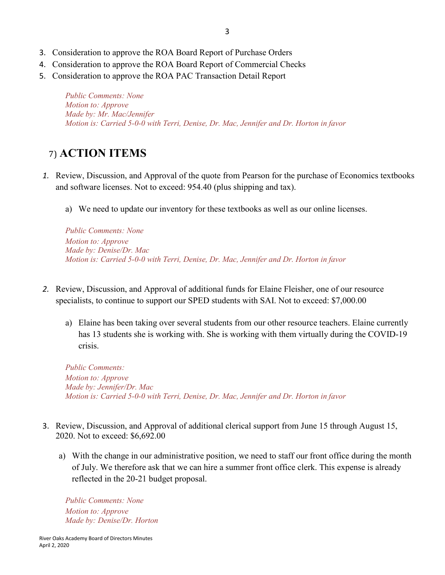- 3. Consideration to approve the ROA Board Report of Purchase Orders
- 4. Consideration to approve the ROA Board Report of Commercial Checks
- 5. Consideration to approve the ROA PAC Transaction Detail Report

*Public Comments: None Motion to: Approve Made by: Mr. Mac/Jennifer Motion is: Carried 5-0-0 with Terri, Denise, Dr. Mac, Jennifer and Dr. Horton in favor*

### 7) **ACTION ITEMS**

- *1.* Review, Discussion, and Approval of the quote from Pearson for the purchase of Economics textbooks and software licenses. Not to exceed: 954.40 (plus shipping and tax).
	- a) We need to update our inventory for these textbooks as well as our online licenses.

*Public Comments: None Motion to: Approve Made by: Denise/Dr. Mac Motion is: Carried 5-0-0 with Terri, Denise, Dr. Mac, Jennifer and Dr. Horton in favor*

- *2.* Review, Discussion, and Approval of additional funds for Elaine Fleisher, one of our resource specialists, to continue to support our SPED students with SAI. Not to exceed: \$7,000.00
	- a) Elaine has been taking over several students from our other resource teachers. Elaine currently has 13 students she is working with. She is working with them virtually during the COVID-19 crisis.

*Public Comments: Motion to: Approve Made by: Jennifer/Dr. Mac Motion is: Carried 5-0-0 with Terri, Denise, Dr. Mac, Jennifer and Dr. Horton in favor*

- 3. Review, Discussion, and Approval of additional clerical support from June 15 through August 15, 2020. Not to exceed: \$6,692.00
	- a) With the change in our administrative position, we need to staff our front office during the month of July. We therefore ask that we can hire a summer front office clerk. This expense is already reflected in the 20-21 budget proposal.

*Public Comments: None Motion to: Approve Made by: Denise/Dr. Horton*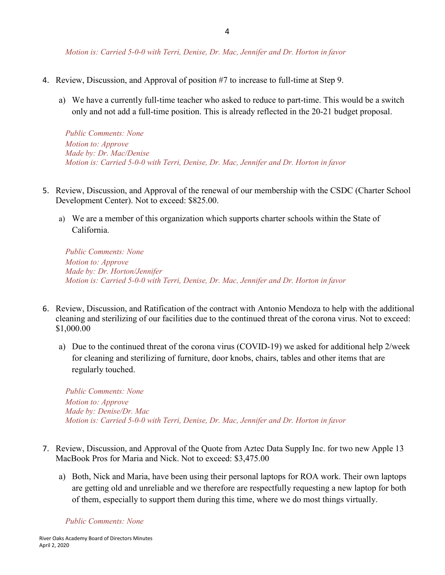*Motion is: Carried 5-0-0 with Terri, Denise, Dr. Mac, Jennifer and Dr. Horton in favor*

- 4. Review, Discussion, and Approval of position #7 to increase to full-time at Step 9.
	- a) We have a currently full-time teacher who asked to reduce to part-time. This would be a switch only and not add a full-time position. This is already reflected in the 20-21 budget proposal.

*Public Comments: None Motion to: Approve Made by: Dr. Mac/Denise Motion is: Carried 5-0-0 with Terri, Denise, Dr. Mac, Jennifer and Dr. Horton in favor*

- 5. Review, Discussion, and Approval of the renewal of our membership with the CSDC (Charter School Development Center). Not to exceed: \$825.00.
	- a) We are a member of this organization which supports charter schools within the State of California.

*Public Comments: None Motion to: Approve Made by: Dr. Horton/Jennifer Motion is: Carried 5-0-0 with Terri, Denise, Dr. Mac, Jennifer and Dr. Horton in favor*

- 6. Review, Discussion, and Ratification of the contract with Antonio Mendoza to help with the additional cleaning and sterilizing of our facilities due to the continued threat of the corona virus. Not to exceed: \$1,000.00
	- a) Due to the continued threat of the corona virus (COVID-19) we asked for additional help 2/week for cleaning and sterilizing of furniture, door knobs, chairs, tables and other items that are regularly touched.

*Public Comments: None Motion to: Approve Made by: Denise/Dr. Mac Motion is: Carried 5-0-0 with Terri, Denise, Dr. Mac, Jennifer and Dr. Horton in favor*

- 7. Review, Discussion, and Approval of the Quote from Aztec Data Supply Inc. for two new Apple 13 MacBook Pros for Maria and Nick. Not to exceed: \$3,475.00
	- a) Both, Nick and Maria, have been using their personal laptops for ROA work. Their own laptops are getting old and unreliable and we therefore are respectfully requesting a new laptop for both of them, especially to support them during this time, where we do most things virtually.

*Public Comments: None*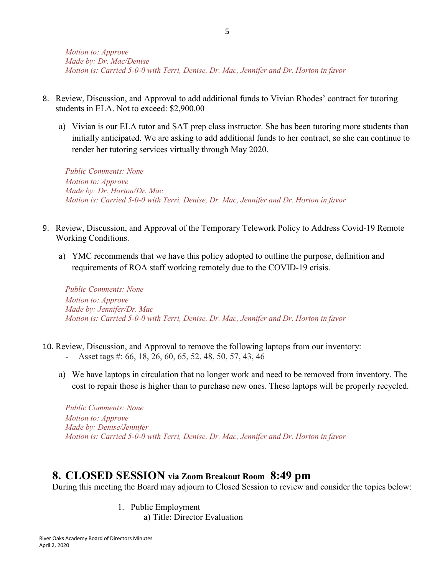- 8. Review, Discussion, and Approval to add additional funds to Vivian Rhodes' contract for tutoring students in ELA. Not to exceed: \$2,900.00
	- a) Vivian is our ELA tutor and SAT prep class instructor. She has been tutoring more students than initially anticipated. We are asking to add additional funds to her contract, so she can continue to render her tutoring services virtually through May 2020.

*Public Comments: None Motion to: Approve Made by: Dr. Horton/Dr. Mac Motion is: Carried 5-0-0 with Terri, Denise, Dr. Mac, Jennifer and Dr. Horton in favor*

- 9. Review, Discussion, and Approval of the Temporary Telework Policy to Address Covid-19 Remote Working Conditions.
	- a) YMC recommends that we have this policy adopted to outline the purpose, definition and requirements of ROA staff working remotely due to the COVID-19 crisis.

*Public Comments: None Motion to: Approve Made by: Jennifer/Dr. Mac Motion is: Carried 5-0-0 with Terri, Denise, Dr. Mac, Jennifer and Dr. Horton in favor*

- 10. Review, Discussion, and Approval to remove the following laptops from our inventory:
	- Asset tags #: 66, 18, 26, 60, 65, 52, 48, 50, 57, 43, 46
	- a) We have laptops in circulation that no longer work and need to be removed from inventory. The cost to repair those is higher than to purchase new ones. These laptops will be properly recycled.

*Public Comments: None Motion to: Approve Made by: Denise/Jennifer Motion is: Carried 5-0-0 with Terri, Denise, Dr. Mac, Jennifer and Dr. Horton in favor*

#### **8. CLOSED SESSION via Zoom Breakout Room 8:49 pm**

During this meeting the Board may adjourn to Closed Session to review and consider the topics below:

1. Public Employment

a) Title: Director Evaluation